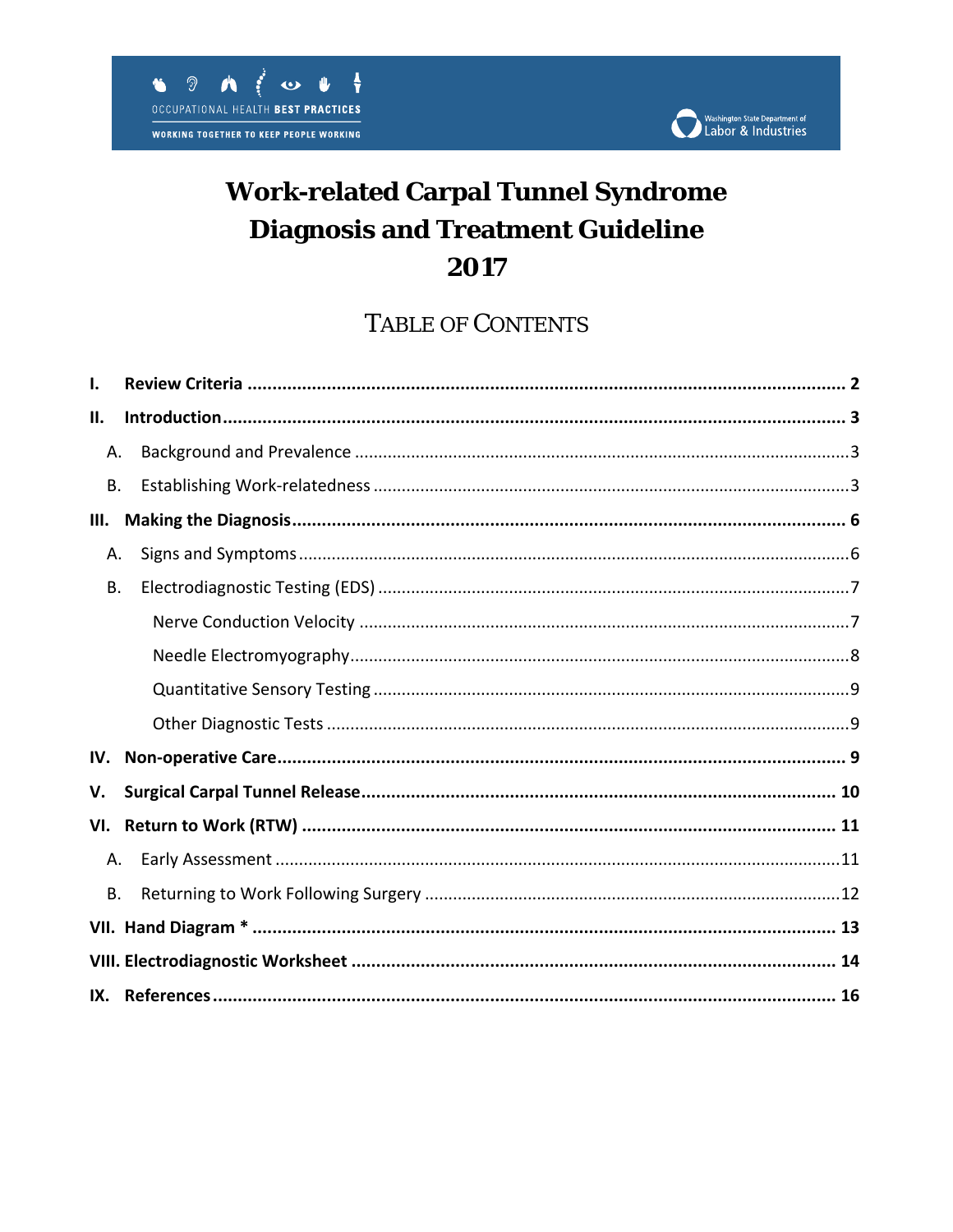

# **Work-related Carpal Tunnel Syndrome Diagnosis and Treatment Guideline** 2017

## **TABLE OF CONTENTS**

| I.        |  |
|-----------|--|
| П.        |  |
| Α.        |  |
| <b>B.</b> |  |
| Ш.        |  |
| Α.        |  |
| В.        |  |
|           |  |
|           |  |
|           |  |
|           |  |
| IV.       |  |
| V.        |  |
|           |  |
| Α.        |  |
| <b>B.</b> |  |
|           |  |
|           |  |
|           |  |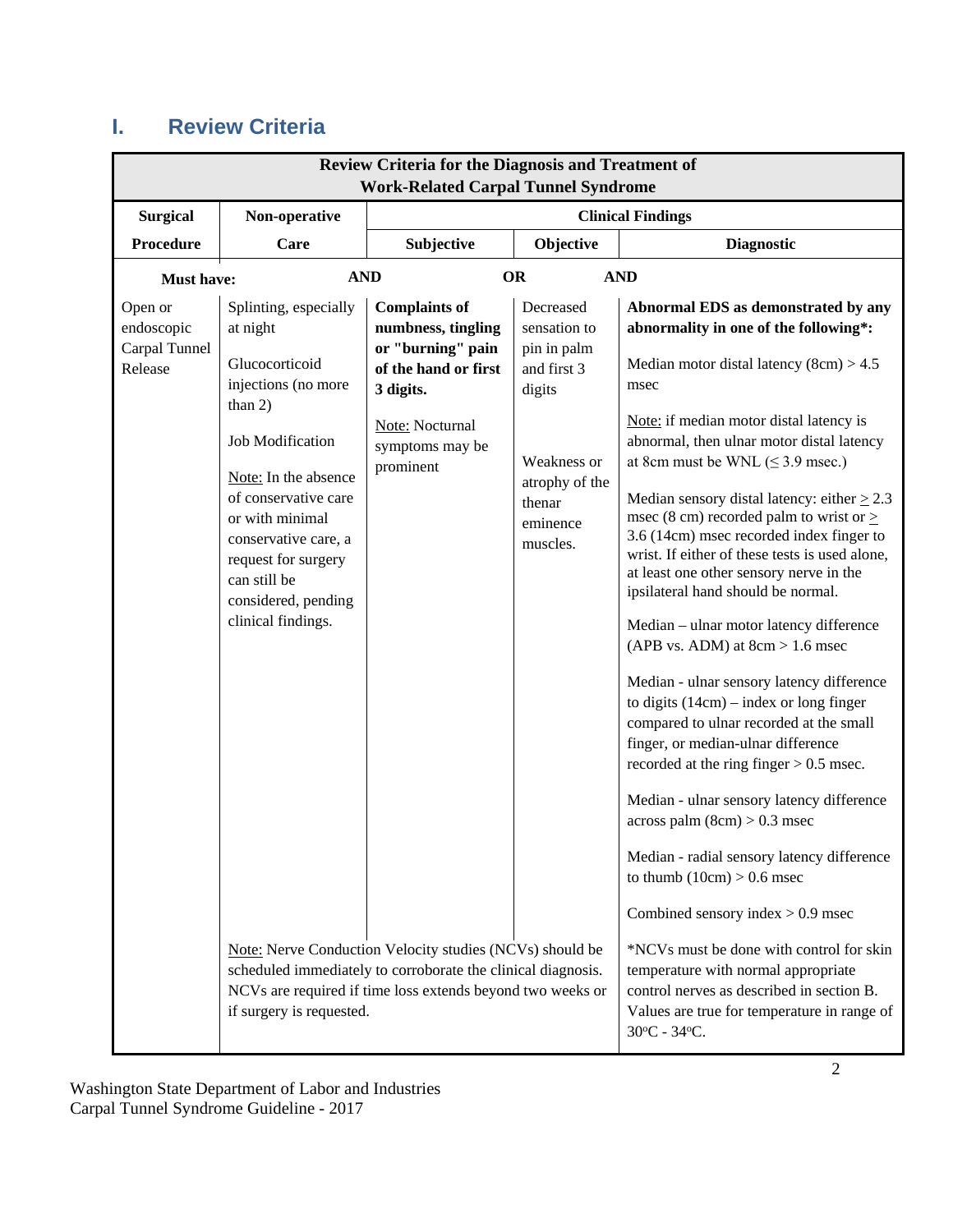## <span id="page-1-0"></span>**I. Review Criteria**

| <b>Review Criteria for the Diagnosis and Treatment of</b><br><b>Work-Related Carpal Tunnel Syndrome</b> |                                                                                                                                                                                                                                                                                            |                                                                                                                                                                |                                                                                                                                      |                                                                                                                                                                                                                                                                                                                                                                                                                                                                                                                                                                                                                                                                                                                                                                                                                                                                                                                                                                                                                                                                    |  |
|---------------------------------------------------------------------------------------------------------|--------------------------------------------------------------------------------------------------------------------------------------------------------------------------------------------------------------------------------------------------------------------------------------------|----------------------------------------------------------------------------------------------------------------------------------------------------------------|--------------------------------------------------------------------------------------------------------------------------------------|--------------------------------------------------------------------------------------------------------------------------------------------------------------------------------------------------------------------------------------------------------------------------------------------------------------------------------------------------------------------------------------------------------------------------------------------------------------------------------------------------------------------------------------------------------------------------------------------------------------------------------------------------------------------------------------------------------------------------------------------------------------------------------------------------------------------------------------------------------------------------------------------------------------------------------------------------------------------------------------------------------------------------------------------------------------------|--|
| <b>Surgical</b>                                                                                         | Non-operative<br><b>Clinical Findings</b>                                                                                                                                                                                                                                                  |                                                                                                                                                                |                                                                                                                                      |                                                                                                                                                                                                                                                                                                                                                                                                                                                                                                                                                                                                                                                                                                                                                                                                                                                                                                                                                                                                                                                                    |  |
| <b>Procedure</b>                                                                                        | Care                                                                                                                                                                                                                                                                                       | Subjective                                                                                                                                                     | Objective                                                                                                                            | <b>Diagnostic</b>                                                                                                                                                                                                                                                                                                                                                                                                                                                                                                                                                                                                                                                                                                                                                                                                                                                                                                                                                                                                                                                  |  |
| <b>Must have:</b>                                                                                       | <b>AND</b>                                                                                                                                                                                                                                                                                 |                                                                                                                                                                | <b>OR</b>                                                                                                                            | <b>AND</b>                                                                                                                                                                                                                                                                                                                                                                                                                                                                                                                                                                                                                                                                                                                                                                                                                                                                                                                                                                                                                                                         |  |
| Open or<br>endoscopic<br>Carpal Tunnel<br>Release                                                       | Splinting, especially<br>at night<br>Glucocorticoid<br>injections (no more<br>than $2)$<br>Job Modification<br>Note: In the absence<br>of conservative care<br>or with minimal<br>conservative care, a<br>request for surgery<br>can still be<br>considered, pending<br>clinical findings. | <b>Complaints of</b><br>numbness, tingling<br>or "burning" pain<br>of the hand or first<br>3 digits.<br><b>Note:</b> Nocturnal<br>symptoms may be<br>prominent | Decreased<br>sensation to<br>pin in palm<br>and first 3<br>digits<br>Weakness or<br>atrophy of the<br>thenar<br>eminence<br>muscles. | Abnormal EDS as demonstrated by any<br>abnormality in one of the following*:<br>Median motor distal latency $(8cm) > 4.5$<br>msec<br>Note: if median motor distal latency is<br>abnormal, then ulnar motor distal latency<br>at 8cm must be WNL $(\leq 3.9$ msec.)<br>Median sensory distal latency: either $\geq$ 2.3<br>msec (8 cm) recorded palm to wrist or $\ge$<br>3.6 (14cm) msec recorded index finger to<br>wrist. If either of these tests is used alone,<br>at least one other sensory nerve in the<br>ipsilateral hand should be normal.<br>Median - ulnar motor latency difference<br>(APB vs. ADM) at $8cm > 1.6$ msec<br>Median - ulnar sensory latency difference<br>to digits $(14cm)$ – index or long finger<br>compared to ulnar recorded at the small<br>finger, or median-ulnar difference<br>recorded at the ring finger $> 0.5$ msec.<br>Median - ulnar sensory latency difference<br>$across$ palm $(8cm) > 0.3$ msec<br>Median - radial sensory latency difference<br>to thumb $(10cm) > 0.6$ msec<br>Combined sensory index $> 0.9$ msec |  |
|                                                                                                         | Note: Nerve Conduction Velocity studies (NCVs) should be<br>scheduled immediately to corroborate the clinical diagnosis.<br>NCVs are required if time loss extends beyond two weeks or<br>if surgery is requested.                                                                         |                                                                                                                                                                |                                                                                                                                      | *NCVs must be done with control for skin<br>temperature with normal appropriate<br>control nerves as described in section B.<br>Values are true for temperature in range of<br>30°C - 34°C.                                                                                                                                                                                                                                                                                                                                                                                                                                                                                                                                                                                                                                                                                                                                                                                                                                                                        |  |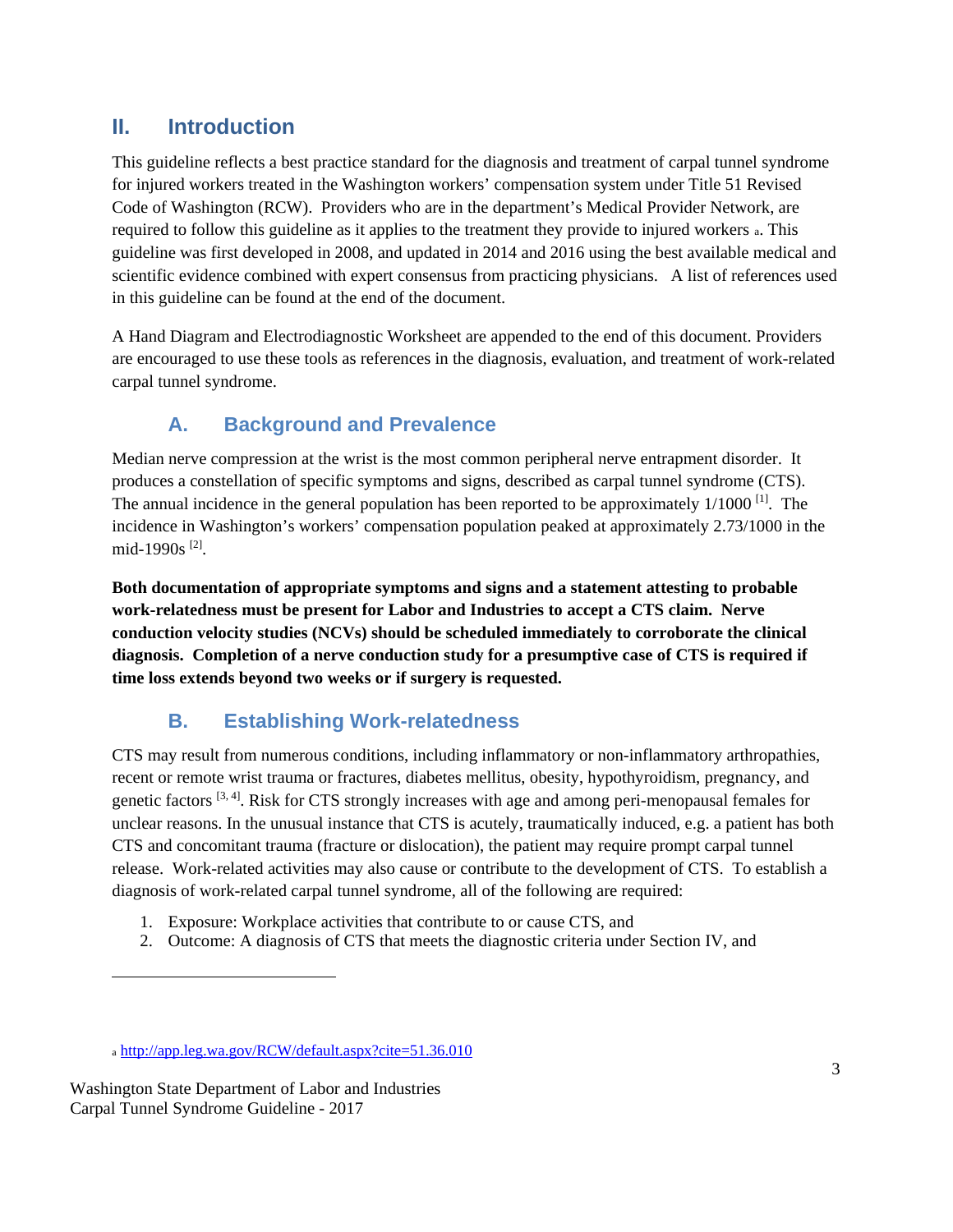### <span id="page-2-0"></span>**II. Introduction**

This guideline reflects a best practice standard for the diagnosis and treatment of carpal tunnel syndrome for injured workers treated in the Washington workers' compensation system under Title 51 Revised Code of Washington (RCW). Providers who are in the department's Medical Provider Network, are required to follow this guideline as it applies to the treatment they provide to injured workers [a](#page-2-3). This guideline was first developed in 2008, and updated in 2014 and 2016 using the best available medical and scientific evidence combined with expert consensus from practicing physicians. A list of references used in this guideline can be found at the end of the document.

A [Hand Diagram](#page-12-0) and [Electrodiagnostic Worksheet](#page-13-0) are appended to the end of this document. Providers are encouraged to use these tools as references in the diagnosis, evaluation, and treatment of work-related carpal tunnel syndrome.

### **A. Background and Prevalence**

<span id="page-2-1"></span>Median nerve compression at the wrist is the most common peripheral nerve entrapment disorder. It produces a constellation of specific symptoms and signs, described as carpal tunnel syndrome (CTS). The annual incidence in the general population has been reported to be approximately  $1/1000$  <sup>[1]</sup>. The incidence in Washington's workers' compensation population peaked at approximately 2.73/1000 in the mid-1990s [2].

**Both documentation of appropriate symptoms and signs and a statement attesting to probable work-relatedness must be present for Labor and Industries to accept a CTS claim. Nerve conduction velocity studies (NCVs) should be scheduled immediately to corroborate the clinical diagnosis. Completion of a nerve conduction study for a presumptive case of CTS is required if time loss extends beyond two weeks or if surgery is requested.** 

### **B. Establishing Work-relatedness**

<span id="page-2-2"></span>CTS may result from numerous conditions, including inflammatory or non-inflammatory arthropathies, recent or remote wrist trauma or fractures, diabetes mellitus, obesity, hypothyroidism, pregnancy, and genetic factors [3, 4]. Risk for CTS strongly increases with age and among peri-menopausal females for unclear reasons. In the unusual instance that CTS is acutely, traumatically induced, e.g. a patient has both CTS and concomitant trauma (fracture or dislocation), the patient may require prompt carpal tunnel release. Work-related activities may also cause or contribute to the development of CTS. To establish a diagnosis of work-related carpal tunnel syndrome, all of the following are required:

- 1. Exposure: Workplace activities that contribute to or cause CTS, and
- 2. Outcome: A diagnosis of CTS that meets the diagnostic criteria under Section IV, and

 $\overline{a}$ 

<sup>a</sup> <http://app.leg.wa.gov/RCW/default.aspx?cite=51.36.010>

<span id="page-2-3"></span>Washington State Department of Labor and Industries Carpal Tunnel Syndrome Guideline - 2017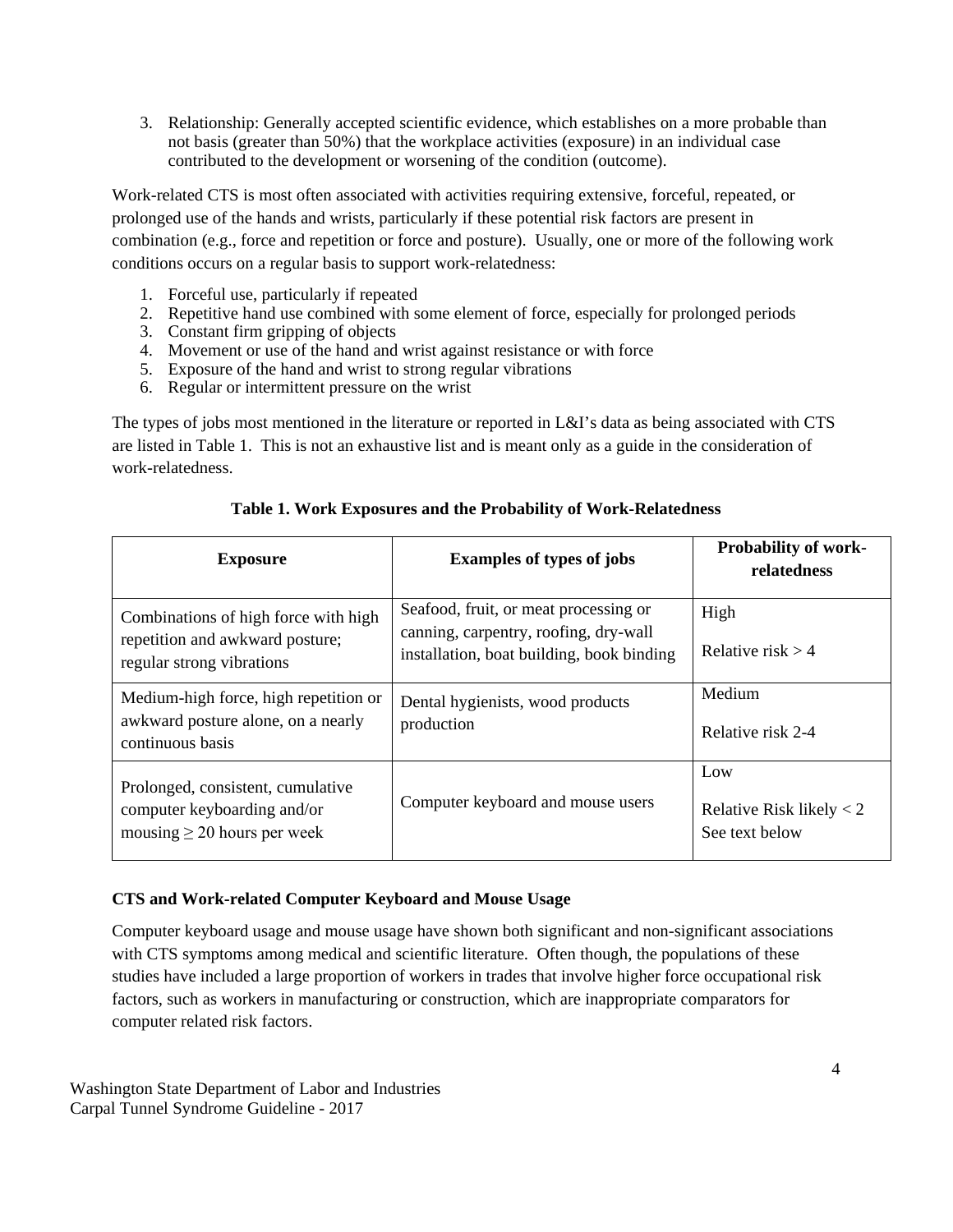3. Relationship: Generally accepted scientific evidence, which establishes on a more probable than not basis (greater than 50%) that the workplace activities (exposure) in an individual case contributed to the development or worsening of the condition (outcome).

Work-related CTS is most often associated with activities requiring extensive, forceful, repeated, or prolonged use of the hands and wrists, particularly if these potential risk factors are present in combination (e.g., force and repetition or force and posture). Usually, one or more of the following work conditions occurs on a regular basis to support work-relatedness:

- 1. Forceful use, particularly if repeated
- 2. Repetitive hand use combined with some element of force, especially for prolonged periods
- 3. Constant firm gripping of objects
- 4. Movement or use of the hand and wrist against resistance or with force
- 5. Exposure of the hand and wrist to strong regular vibrations
- 6. Regular or intermittent pressure on the wrist

The types of jobs most mentioned in the literature or reported in L&I's data as being associated with CTS are listed in Table 1. This is not an exhaustive list and is meant only as a guide in the consideration of work-relatedness.

| <b>Exposure</b>                                                                                      | <b>Examples of types of jobs</b>                                                                                            | <b>Probability of work-</b><br>relatedness          |
|------------------------------------------------------------------------------------------------------|-----------------------------------------------------------------------------------------------------------------------------|-----------------------------------------------------|
| Combinations of high force with high<br>repetition and awkward posture;<br>regular strong vibrations | Seafood, fruit, or meat processing or<br>canning, carpentry, roofing, dry-wall<br>installation, boat building, book binding | High<br>Relative risk $> 4$                         |
| Medium-high force, high repetition or<br>awkward posture alone, on a nearly<br>continuous basis      | Dental hygienists, wood products<br>production                                                                              | Medium<br>Relative risk 2-4                         |
| Prolonged, consistent, cumulative<br>computer keyboarding and/or<br>mousing $\geq$ 20 hours per week | Computer keyboard and mouse users                                                                                           | Low<br>Relative Risk likely $<$ 2<br>See text below |

#### **Table 1. Work Exposures and the Probability of Work-Relatedness**

#### **CTS and Work-related Computer Keyboard and Mouse Usage**

Computer keyboard usage and mouse usage have shown both significant and non-significant associations with CTS symptoms among medical and scientific literature. Often though, the populations of these studies have included a large proportion of workers in trades that involve higher force occupational risk factors, such as workers in manufacturing or construction, which are inappropriate comparators for computer related risk factors.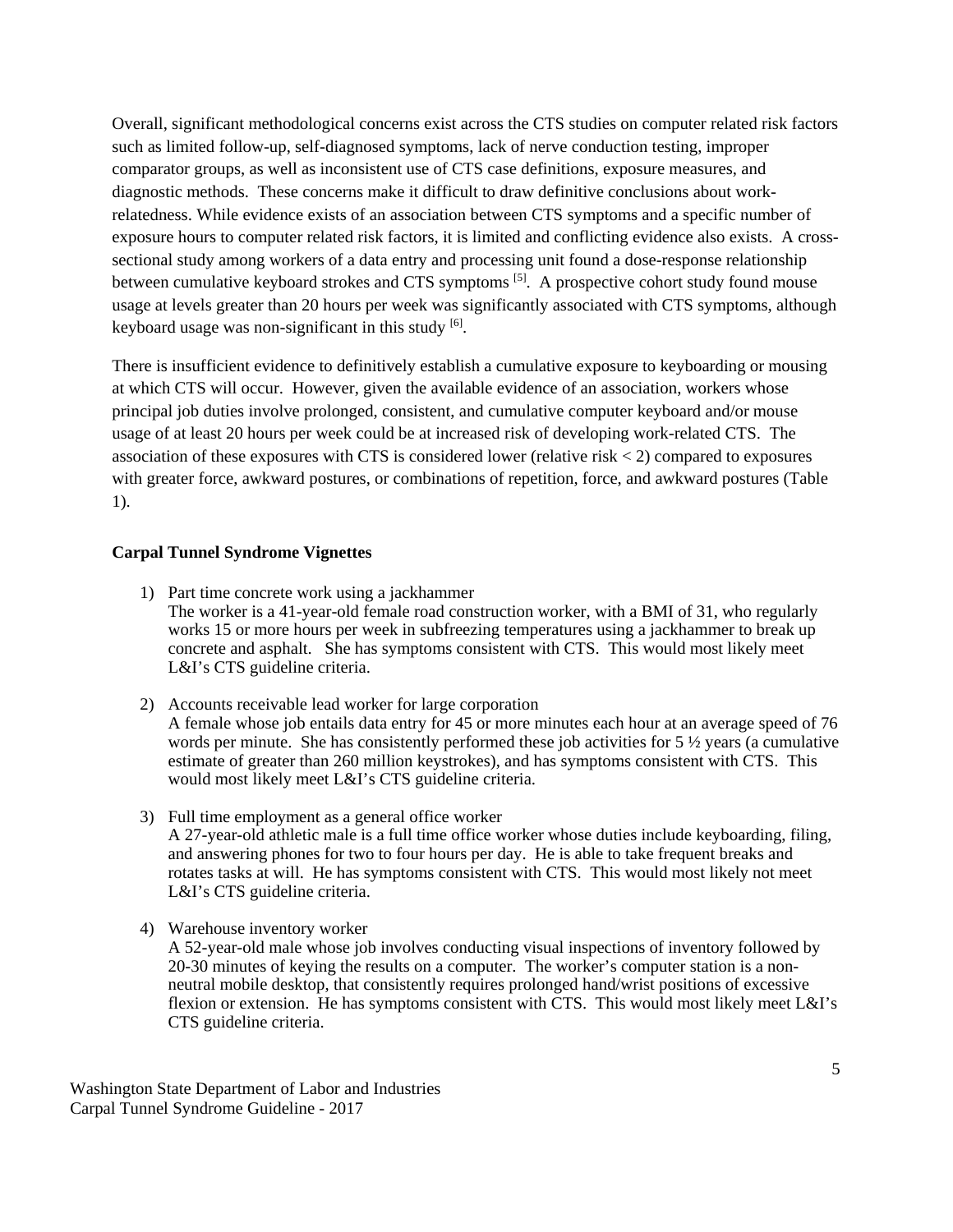Overall, significant methodological concerns exist across the CTS studies on computer related risk factors such as limited follow-up, self-diagnosed symptoms, lack of nerve conduction testing, improper comparator groups, as well as inconsistent use of CTS case definitions, exposure measures, and diagnostic methods. These concerns make it difficult to draw definitive conclusions about workrelatedness. While evidence exists of an association between CTS symptoms and a specific number of exposure hours to computer related risk factors, it is limited and conflicting evidence also exists. A crosssectional study among workers of a data entry and processing unit found a dose-response relationship between cumulative keyboard strokes and CTS symptoms<sup>[5]</sup>. A prospective cohort study found mouse usage at levels greater than 20 hours per week was significantly associated with CTS symptoms, although keyboard usage was non-significant in this study  $[6]$ .

There is insufficient evidence to definitively establish a cumulative exposure to keyboarding or mousing at which CTS will occur. However, given the available evidence of an association, workers whose principal job duties involve prolonged, consistent, and cumulative computer keyboard and/or mouse usage of at least 20 hours per week could be at increased risk of developing work-related CTS. The association of these exposures with CTS is considered lower (relative risk  $\lt 2$ ) compared to exposures with greater force, awkward postures, or combinations of repetition, force, and awkward postures (Table 1).

#### **Carpal Tunnel Syndrome Vignettes**

- 1) Part time concrete work using a jackhammer The worker is a 41-year-old female road construction worker, with a BMI of 31, who regularly works 15 or more hours per week in subfreezing temperatures using a jackhammer to break up concrete and asphalt. She has symptoms consistent with CTS. This would most likely meet L&I's CTS guideline criteria.
- 2) Accounts receivable lead worker for large corporation A female whose job entails data entry for 45 or more minutes each hour at an average speed of 76 words per minute. She has consistently performed these job activities for  $5\frac{1}{2}$  years (a cumulative estimate of greater than 260 million keystrokes), and has symptoms consistent with CTS. This would most likely meet L&I's CTS guideline criteria.
- 3) Full time employment as a general office worker A 27-year-old athletic male is a full time office worker whose duties include keyboarding, filing, and answering phones for two to four hours per day. He is able to take frequent breaks and rotates tasks at will. He has symptoms consistent with CTS. This would most likely not meet L&I's CTS guideline criteria.
- 4) Warehouse inventory worker
	- A 52-year-old male whose job involves conducting visual inspections of inventory followed by 20-30 minutes of keying the results on a computer. The worker's computer station is a nonneutral mobile desktop, that consistently requires prolonged hand/wrist positions of excessive flexion or extension. He has symptoms consistent with CTS. This would most likely meet L&I's CTS guideline criteria.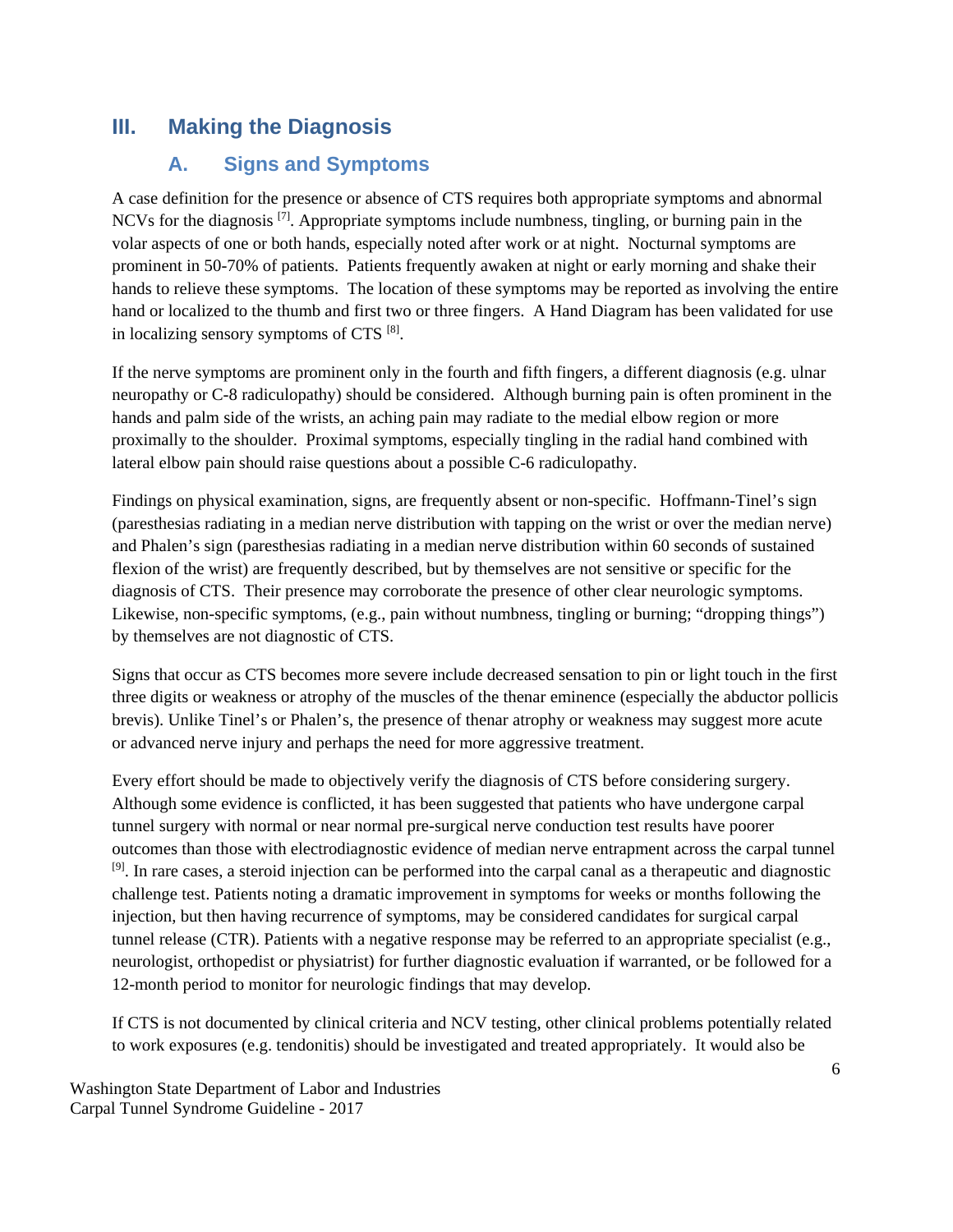### <span id="page-5-0"></span>**III. Making the Diagnosis**

### **A. Signs and Symptoms**

<span id="page-5-1"></span>A case definition for the presence or absence of CTS requires both appropriate symptoms and abnormal NCVs for the diagnosis <sup>[7]</sup>. Appropriate symptoms include numbness, tingling, or burning pain in the volar aspects of one or both hands, especially noted after work or at night. Nocturnal symptoms are prominent in 50-70% of patients. Patients frequently awaken at night or early morning and shake their hands to relieve these symptoms. The location of these symptoms may be reported as involving the entire hand or localized to the thumb and first two or three fingers. A [Hand Diagram](#page-12-0) has been validated for use in localizing sensory symptoms of CTS  $[8]$ .

If the nerve symptoms are prominent only in the fourth and fifth fingers, a different diagnosis (e.g. ulnar neuropathy or C-8 radiculopathy) should be considered. Although burning pain is often prominent in the hands and palm side of the wrists, an aching pain may radiate to the medial elbow region or more proximally to the shoulder. Proximal symptoms, especially tingling in the radial hand combined with lateral elbow pain should raise questions about a possible C-6 radiculopathy.

Findings on physical examination, signs, are frequently absent or non-specific. Hoffmann-Tinel's sign (paresthesias radiating in a median nerve distribution with tapping on the wrist or over the median nerve) and Phalen's sign (paresthesias radiating in a median nerve distribution within 60 seconds of sustained flexion of the wrist) are frequently described, but by themselves are not sensitive or specific for the diagnosis of CTS. Their presence may corroborate the presence of other clear neurologic symptoms. Likewise, non-specific symptoms, (e.g., pain without numbness, tingling or burning; "dropping things") by themselves are not diagnostic of CTS.

Signs that occur as CTS becomes more severe include decreased sensation to pin or light touch in the first three digits or weakness or atrophy of the muscles of the thenar eminence (especially the abductor pollicis brevis). Unlike Tinel's or Phalen's, the presence of thenar atrophy or weakness may suggest more acute or advanced nerve injury and perhaps the need for more aggressive treatment.

Every effort should be made to objectively verify the diagnosis of CTS before considering surgery. Although some evidence is conflicted, it has been suggested that patients who have undergone carpal tunnel surgery with normal or near normal pre-surgical nerve conduction test results have poorer outcomes than those with electrodiagnostic evidence of median nerve entrapment across the carpal tunnel <sup>[9]</sup>. In rare cases, a steroid injection can be performed into the carpal canal as a therapeutic and diagnostic challenge test. Patients noting a dramatic improvement in symptoms for weeks or months following the injection, but then having recurrence of symptoms, may be considered candidates for surgical carpal tunnel release (CTR). Patients with a negative response may be referred to an appropriate specialist (e.g., neurologist, orthopedist or physiatrist) for further diagnostic evaluation if warranted, or be followed for a 12-month period to monitor for neurologic findings that may develop.

If CTS is not documented by clinical criteria and NCV testing, other clinical problems potentially related to work exposures (e.g. tendonitis) should be investigated and treated appropriately. It would also be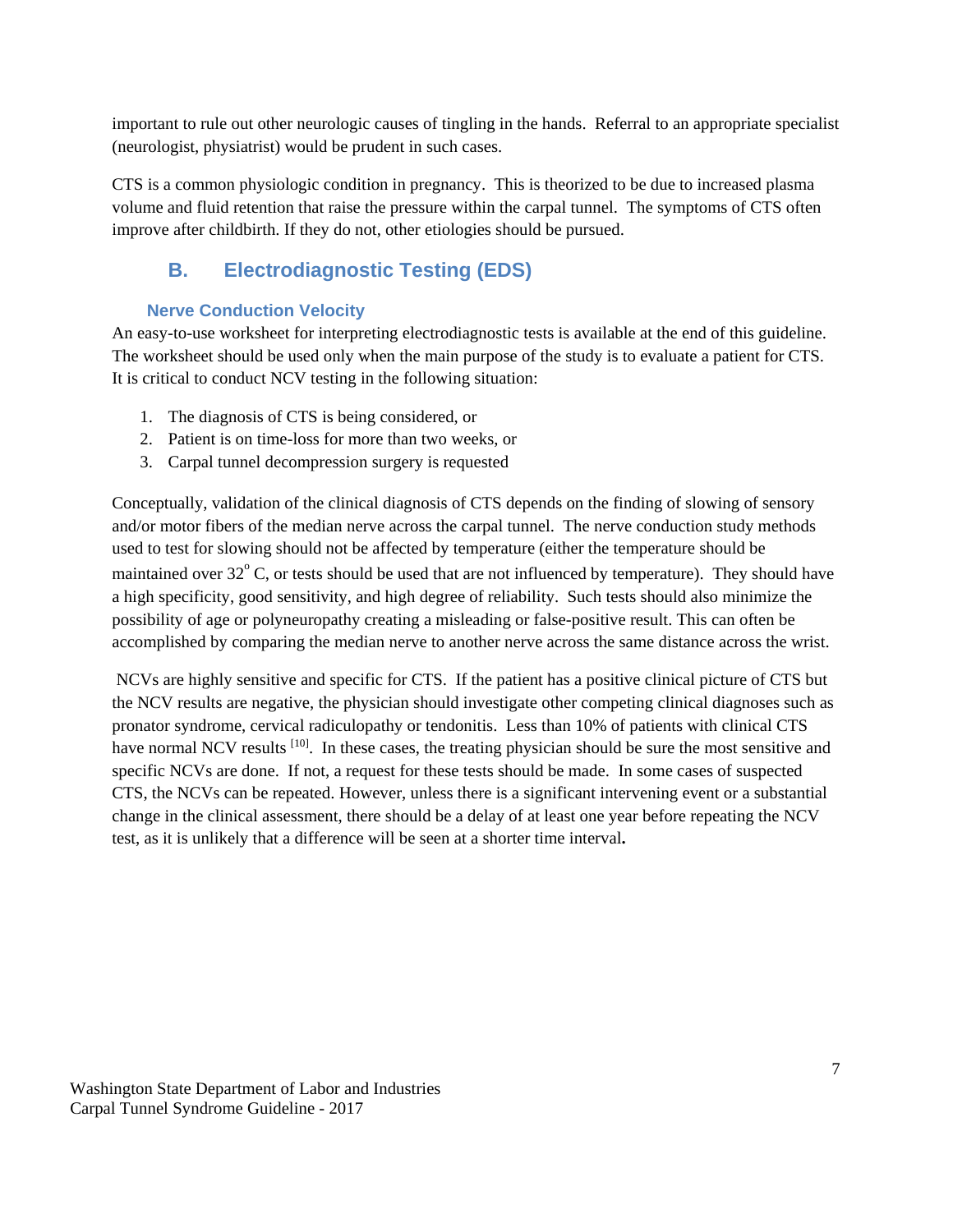important to rule out other neurologic causes of tingling in the hands. Referral to an appropriate specialist (neurologist, physiatrist) would be prudent in such cases.

CTS is a common physiologic condition in pregnancy. This is theorized to be due to increased plasma volume and fluid retention that raise the pressure within the carpal tunnel. The symptoms of CTS often improve after childbirth. If they do not, other etiologies should be pursued.

### **B. Electrodiagnostic Testing (EDS)**

#### <span id="page-6-0"></span>**Nerve Conduction Velocity**

<span id="page-6-1"></span>An easy-to-use worksheet for interpreting electrodiagnostic tests is available at the end of this guideline. The worksheet should be used only when the main purpose of the study is to evaluate a patient for CTS. It is critical to conduct NCV testing in the following situation:

- 1. The diagnosis of CTS is being considered, or
- 2. Patient is on time-loss for more than two weeks, or
- 3. Carpal tunnel decompression surgery is requested

Conceptually, validation of the clinical diagnosis of CTS depends on the finding of slowing of sensory and/or motor fibers of the median nerve across the carpal tunnel. The nerve conduction study methods used to test for slowing should not be affected by temperature (either the temperature should be maintained over  $32^{\circ}$  C, or tests should be used that are not influenced by temperature). They should have a high specificity, good sensitivity, and high degree of reliability. Such tests should also minimize the possibility of age or polyneuropathy creating a misleading or false-positive result. This can often be accomplished by comparing the median nerve to another nerve across the same distance across the wrist.

NCVs are highly sensitive and specific for CTS. If the patient has a positive clinical picture of CTS but the NCV results are negative, the physician should investigate other competing clinical diagnoses such as pronator syndrome, cervical radiculopathy or tendonitis. Less than 10% of patients with clinical CTS have normal NCV results <sup>[10]</sup>. In these cases, the treating physician should be sure the most sensitive and specific NCVs are done. If not, a request for these tests should be made. In some cases of suspected CTS, the NCVs can be repeated. However, unless there is a significant intervening event or a substantial change in the clinical assessment, there should be a delay of at least one year before repeating the NCV test, as it is unlikely that a difference will be seen at a shorter time interval**.**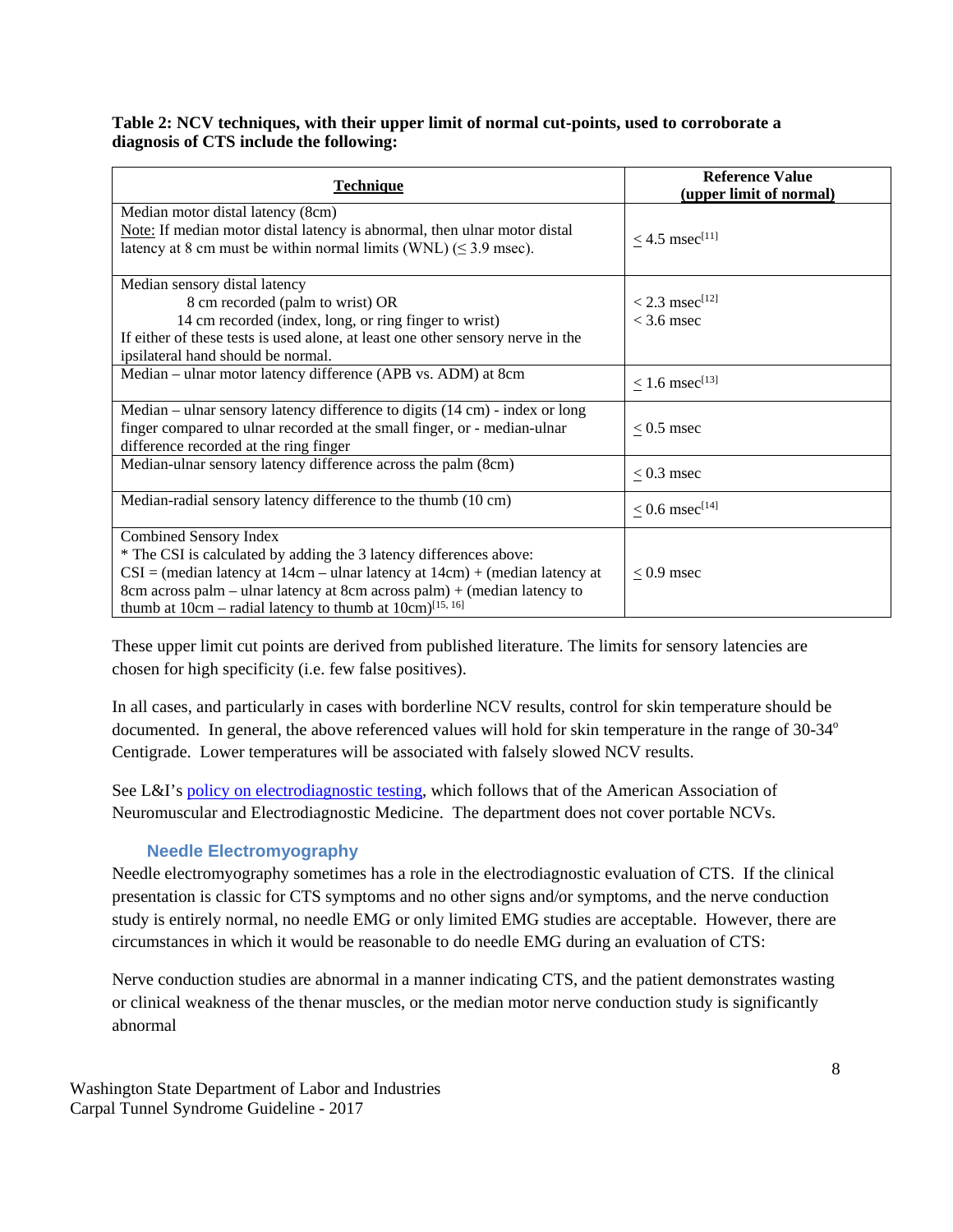#### **Table 2: NCV techniques, with their upper limit of normal cut-points, used to corroborate a diagnosis of CTS include the following:**

| <b>Technique</b>                                                                                                                      | <b>Reference Value</b><br>(upper limit of normal) |  |  |
|---------------------------------------------------------------------------------------------------------------------------------------|---------------------------------------------------|--|--|
| Median motor distal latency (8cm)                                                                                                     |                                                   |  |  |
| Note: If median motor distal latency is abnormal, then ulnar motor distal                                                             | $\leq$ 4.5 msec <sup>[11]</sup>                   |  |  |
| latency at 8 cm must be within normal limits (WNL) ( $\leq$ 3.9 msec).                                                                |                                                   |  |  |
|                                                                                                                                       |                                                   |  |  |
| Median sensory distal latency                                                                                                         |                                                   |  |  |
| 8 cm recorded (palm to wrist) OR                                                                                                      | $< 2.3$ msec <sup>[12]</sup>                      |  |  |
| 14 cm recorded (index, long, or ring finger to wrist)                                                                                 | $<$ 3.6 msec                                      |  |  |
| If either of these tests is used alone, at least one other sensory nerve in the                                                       |                                                   |  |  |
| ipsilateral hand should be normal.                                                                                                    |                                                   |  |  |
| Median – ulnar motor latency difference (APB vs. ADM) at 8cm                                                                          | $< 1.6$ msec <sup>[13]</sup>                      |  |  |
|                                                                                                                                       |                                                   |  |  |
| Median – ulnar sensory latency difference to digits $(14 \text{ cm})$ - index or long                                                 |                                                   |  |  |
| finger compared to ulnar recorded at the small finger, or - median-ulnar                                                              | $< 0.5$ msec                                      |  |  |
| difference recorded at the ring finger                                                                                                |                                                   |  |  |
| Median-ulnar sensory latency difference across the palm (8cm)                                                                         | $< 0.3$ msec                                      |  |  |
|                                                                                                                                       |                                                   |  |  |
| Median-radial sensory latency difference to the thumb (10 cm)                                                                         | $< 0.6$ msec <sup>[14]</sup>                      |  |  |
|                                                                                                                                       |                                                   |  |  |
| Combined Sensory Index                                                                                                                |                                                   |  |  |
| * The CSI is calculated by adding the 3 latency differences above:                                                                    |                                                   |  |  |
| $CSI = (median \text{ latency at } 14 \text{cm} - \text{ulnar latency at } 14 \text{cm}) + (median \text{ latency at } 14 \text{cm})$ | $< 0.9$ msec                                      |  |  |
| 8cm across palm – ulnar latency at 8cm across palm) + (median latency to                                                              |                                                   |  |  |
| thumb at $10cm -$ radial latency to thumb at $10cm$ <sup>[15, 16]</sup>                                                               |                                                   |  |  |

These upper limit cut points are derived from published literature. The limits for sensory latencies are chosen for high specificity (i.e. few false positives).

In all cases, and particularly in cases with borderline NCV results, control for skin temperature should be documented. In general, the above referenced values will hold for skin temperature in the range of 30-34<sup>o</sup> Centigrade. Lower temperatures will be associated with falsely slowed NCV results.

See L&I's [policy on electrodiagnostic testing,](http://www.lni.wa.gov/ClaimsIns/Providers/TreatingPatients/ByCondition/ElecTest/default.asp) which follows that of the American Association of Neuromuscular and Electrodiagnostic Medicine. The department does not cover portable NCVs.

#### **Needle Electromyography**

<span id="page-7-0"></span>Needle electromyography sometimes has a role in the electrodiagnostic evaluation of CTS. If the clinical presentation is classic for CTS symptoms and no other signs and/or symptoms, and the nerve conduction study is entirely normal, no needle EMG or only limited EMG studies are acceptable. However, there are circumstances in which it would be reasonable to do needle EMG during an evaluation of CTS:

Nerve conduction studies are abnormal in a manner indicating CTS, and the patient demonstrates wasting or clinical weakness of the thenar muscles, or the median motor nerve conduction study is significantly abnormal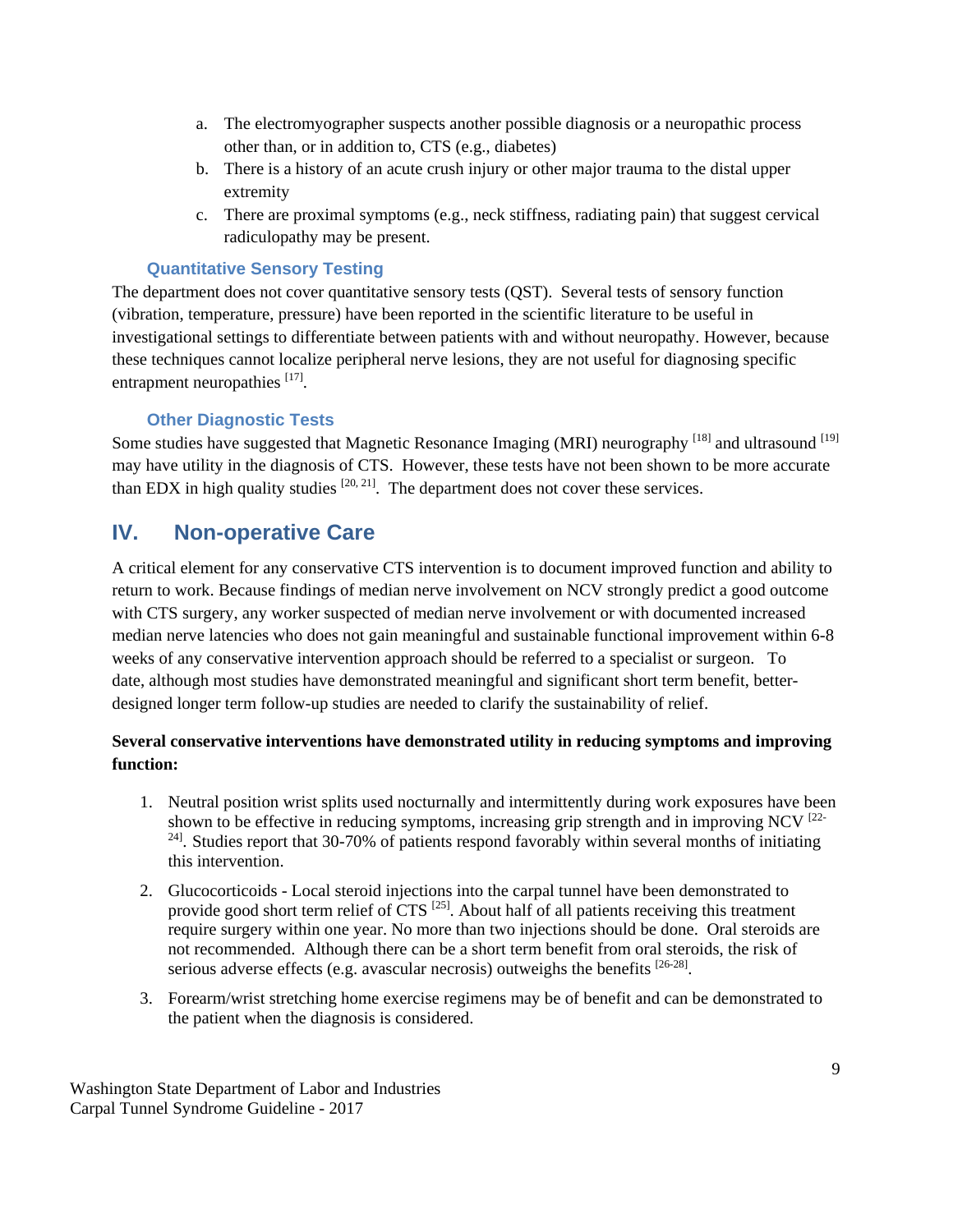- a. The electromyographer suspects another possible diagnosis or a neuropathic process other than, or in addition to, CTS (e.g., diabetes)
- b. There is a history of an acute crush injury or other major trauma to the distal upper extremity
- c. There are proximal symptoms (e.g., neck stiffness, radiating pain) that suggest cervical radiculopathy may be present.

#### **Quantitative Sensory Testing**

<span id="page-8-0"></span>The department does not cover quantitative sensory tests (QST). Several tests of sensory function (vibration, temperature, pressure) have been reported in the scientific literature to be useful in investigational settings to differentiate between patients with and without neuropathy. However, because these techniques cannot localize peripheral nerve lesions, they are not useful for diagnosing specific entrapment neuropathies [17].

#### **Other Diagnostic Tests**

<span id="page-8-1"></span>Some studies have suggested that Magnetic Resonance Imaging (MRI) neurography <sup>[18]</sup> and ultrasound <sup>[19]</sup> may have utility in the diagnosis of CTS. However, these tests have not been shown to be more accurate than EDX in high quality studies  $[20, 21]$ . The department does not cover these services.

### <span id="page-8-2"></span>**IV. Non-operative Care**

A critical element for any conservative CTS intervention is to document improved function and ability to return to work. Because findings of median nerve involvement on NCV strongly predict a good outcome with CTS surgery, any worker suspected of median nerve involvement or with documented increased median nerve latencies who does not gain meaningful and sustainable functional improvement within 6-8 weeks of any conservative intervention approach should be referred to a specialist or surgeon. To date, although most studies have demonstrated meaningful and significant short term benefit, betterdesigned longer term follow-up studies are needed to clarify the sustainability of relief.

#### **Several conservative interventions have demonstrated utility in reducing symptoms and improving function:**

- 1. Neutral position wrist splits used nocturnally and intermittently during work exposures have been shown to be effective in reducing symptoms, increasing grip strength and in improving NCV  $^{[22]}$ <sup>24]</sup>. Studies report that 30-70% of patients respond favorably within several months of initiating this intervention.
- 2. Glucocorticoids Local steroid injections into the carpal tunnel have been demonstrated to provide good short term relief of  $CTS$ <sup>[25]</sup>. About half of all patients receiving this treatment require surgery within one year. No more than two injections should be done. Oral steroids are not recommended. Although there can be a short term benefit from oral steroids, the risk of serious adverse effects (e.g. avascular necrosis) outweighs the benefits <sup>[26-28]</sup>.
- 3. Forearm/wrist stretching home exercise regimens may be of benefit and can be demonstrated to the patient when the diagnosis is considered.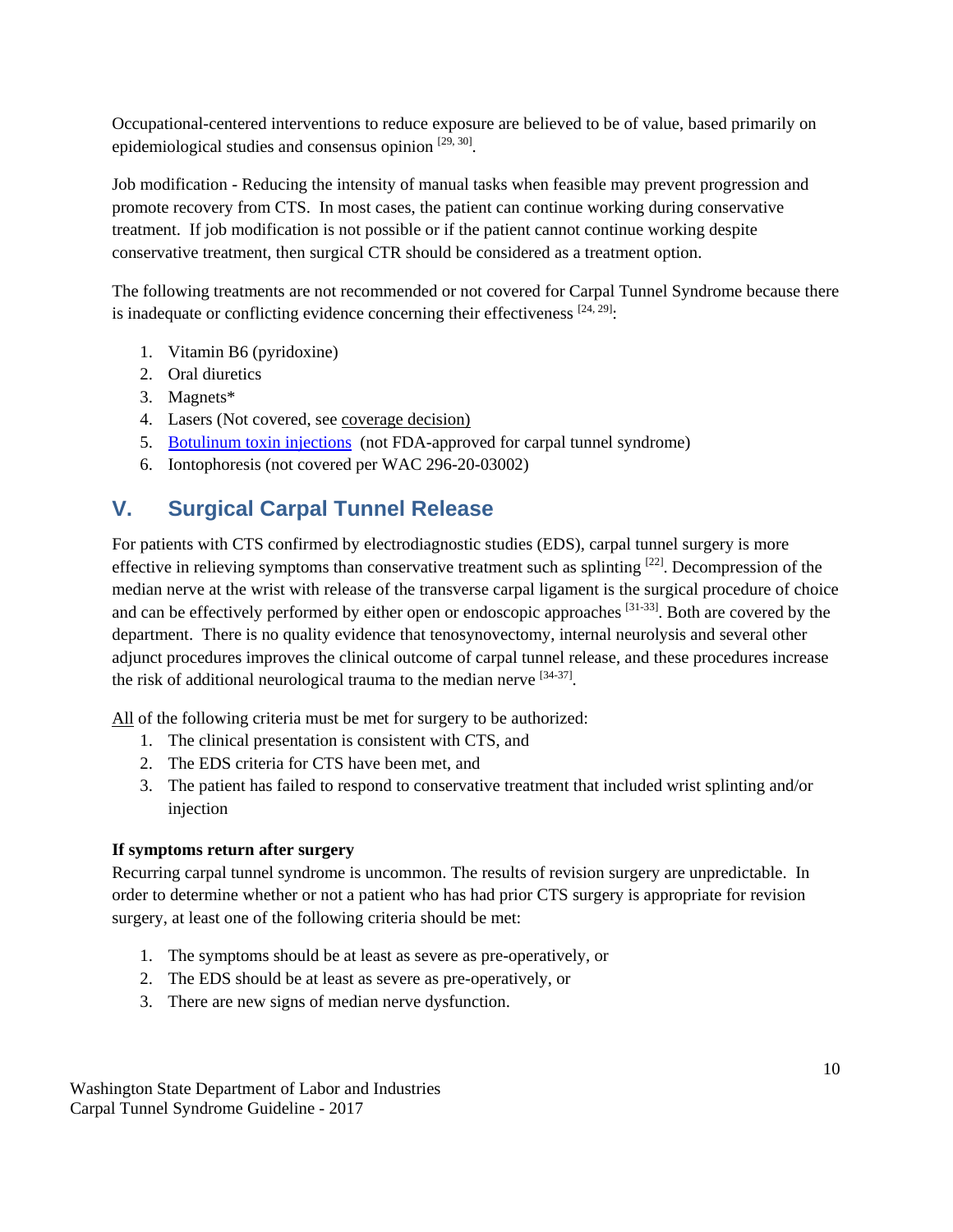Occupational-centered interventions to reduce exposure are believed to be of value, based primarily on epidemiological studies and consensus opinion  $[29, 30]$ .

Job modification - Reducing the intensity of manual tasks when feasible may prevent progression and promote recovery from CTS. In most cases, the patient can continue working during conservative treatment. If job modification is not possible or if the patient cannot continue working despite conservative treatment, then surgical CTR should be considered as a treatment option.

The following treatments are not recommended or not covered for Carpal Tunnel Syndrome because there is inadequate or conflicting evidence concerning their effectiveness  $[24, 29]$ :

- 1. Vitamin B6 (pyridoxine)
- 2. Oral diuretics
- 3. Magnets\*
- 4. Lasers (Not covered, see coverage decision)
- 5. [Botulinum toxin injections](http://www.lni.wa.gov/ClaimsIns/Providers/TreatingPatients/ByCondition/botulinumtoxin.asp) (not FDA-approved for carpal tunnel syndrome)
- 6. Iontophoresis (not covered per WAC 296-20-03002)

### <span id="page-9-0"></span>**V. Surgical Carpal Tunnel Release**

For patients with CTS confirmed by electrodiagnostic studies (EDS), carpal tunnel surgery is more effective in relieving symptoms than conservative treatment such as splinting  $[22]$ . Decompression of the median nerve at the wrist with release of the transverse carpal ligament is the surgical procedure of choice and can be effectively performed by either open or endoscopic approaches <sup>[31-33]</sup>. Both are covered by the department. There is no quality evidence that tenosynovectomy, internal neurolysis and several other adjunct procedures improves the clinical outcome of carpal tunnel release, and these procedures increase the risk of additional neurological trauma to the median nerve  $[34-37]$ .

All of the following criteria must be met for surgery to be authorized:

- 1. The clinical presentation is consistent with CTS, and
- 2. The EDS criteria for CTS have been met, and
- 3. The patient has failed to respond to conservative treatment that included wrist splinting and/or injection

#### **If symptoms return after surgery**

Recurring carpal tunnel syndrome is uncommon. The results of revision surgery are unpredictable. In order to determine whether or not a patient who has had prior CTS surgery is appropriate for revision surgery, at least one of the following criteria should be met:

- 1. The symptoms should be at least as severe as pre-operatively, or
- 2. The EDS should be at least as severe as pre-operatively, or
- 3. There are new signs of median nerve dysfunction.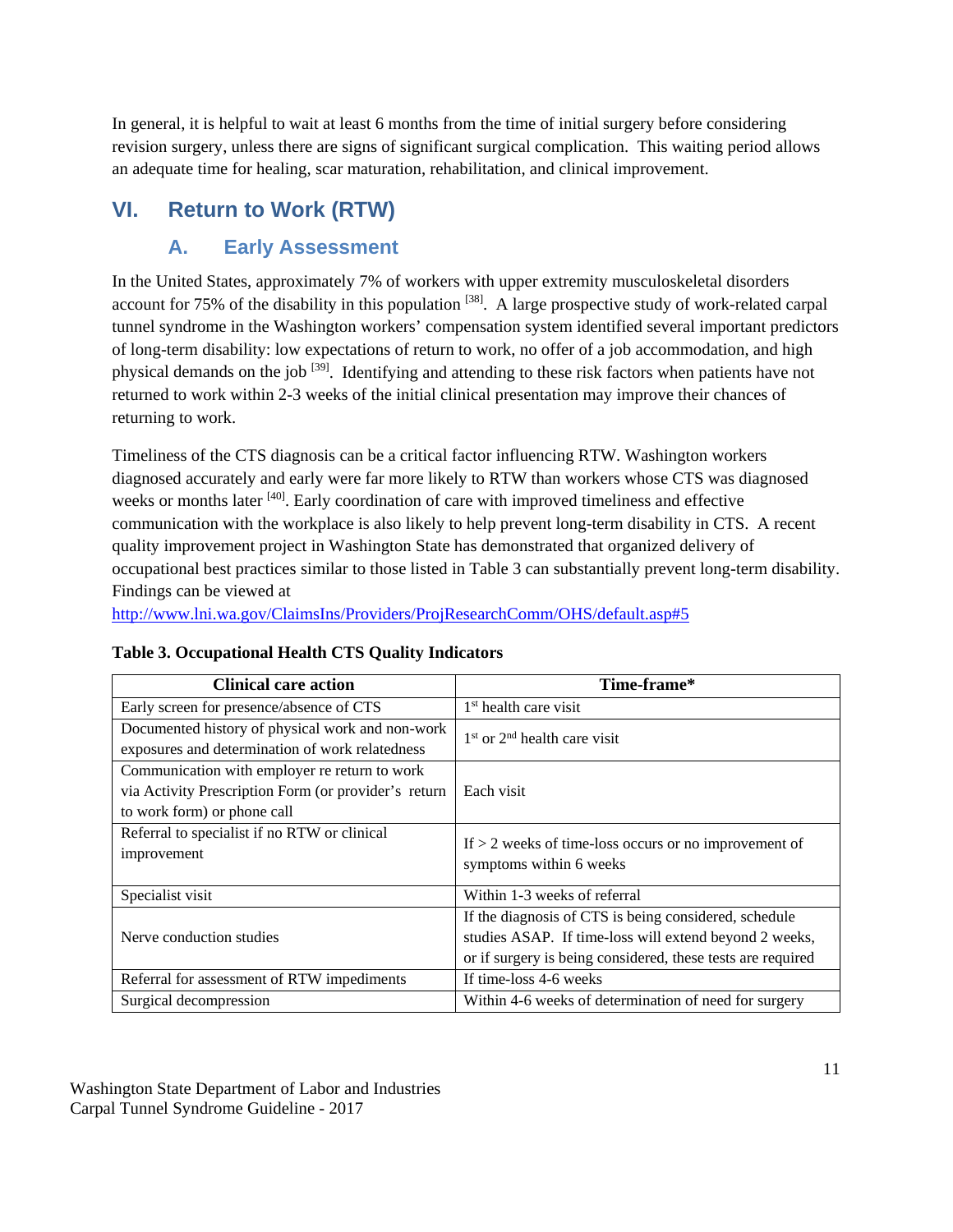In general, it is helpful to wait at least 6 months from the time of initial surgery before considering revision surgery, unless there are signs of significant surgical complication. This waiting period allows an adequate time for healing, scar maturation, rehabilitation, and clinical improvement.

## <span id="page-10-1"></span><span id="page-10-0"></span>**VI. Return to Work (RTW)**

### **A. Early Assessment**

In the United States, approximately 7% of workers with upper extremity musculoskeletal disorders account for 75% of the disability in this population <sup>[38]</sup>. A large prospective study of work-related carpal tunnel syndrome in the Washington workers' compensation system identified several important predictors of long-term disability: low expectations of return to work, no offer of a job accommodation, and high physical demands on the job <sup>[39]</sup>. Identifying and attending to these risk factors when patients have not returned to work within 2-3 weeks of the initial clinical presentation may improve their chances of returning to work.

Timeliness of the CTS diagnosis can be a critical factor influencing RTW. Washington workers diagnosed accurately and early were far more likely to RTW than workers whose CTS was diagnosed weeks or months later <sup>[40]</sup>. Early coordination of care with improved timeliness and effective communication with the workplace is also likely to help prevent long-term disability in CTS. A recent quality improvement project in Washington State has demonstrated that organized delivery of occupational best practices similar to those listed in Table 3 can substantially prevent long-term disability. Findings can be viewed at

<http://www.lni.wa.gov/ClaimsIns/Providers/ProjResearchComm/OHS/default.asp#5>

| <b>Clinical care action</b>                          | Time-frame*                                                 |  |  |
|------------------------------------------------------|-------------------------------------------------------------|--|--|
| Early screen for presence/absence of CTS             | $1st$ health care visit                                     |  |  |
| Documented history of physical work and non-work     | $1st$ or $2nd$ health care visit                            |  |  |
| exposures and determination of work relatedness      |                                                             |  |  |
| Communication with employer re return to work        |                                                             |  |  |
| via Activity Prescription Form (or provider's return | Each visit                                                  |  |  |
| to work form) or phone call                          |                                                             |  |  |
| Referral to specialist if no RTW or clinical         | If $> 2$ weeks of time-loss occurs or no improvement of     |  |  |
| improvement                                          | symptoms within 6 weeks                                     |  |  |
|                                                      |                                                             |  |  |
| Specialist visit                                     | Within 1-3 weeks of referral                                |  |  |
|                                                      | If the diagnosis of CTS is being considered, schedule       |  |  |
| Nerve conduction studies                             | studies ASAP. If time-loss will extend beyond 2 weeks,      |  |  |
|                                                      | or if surgery is being considered, these tests are required |  |  |
| Referral for assessment of RTW impediments           | If time-loss 4-6 weeks                                      |  |  |
| Surgical decompression                               | Within 4-6 weeks of determination of need for surgery       |  |  |

#### **Table 3. Occupational Health CTS Quality Indicators**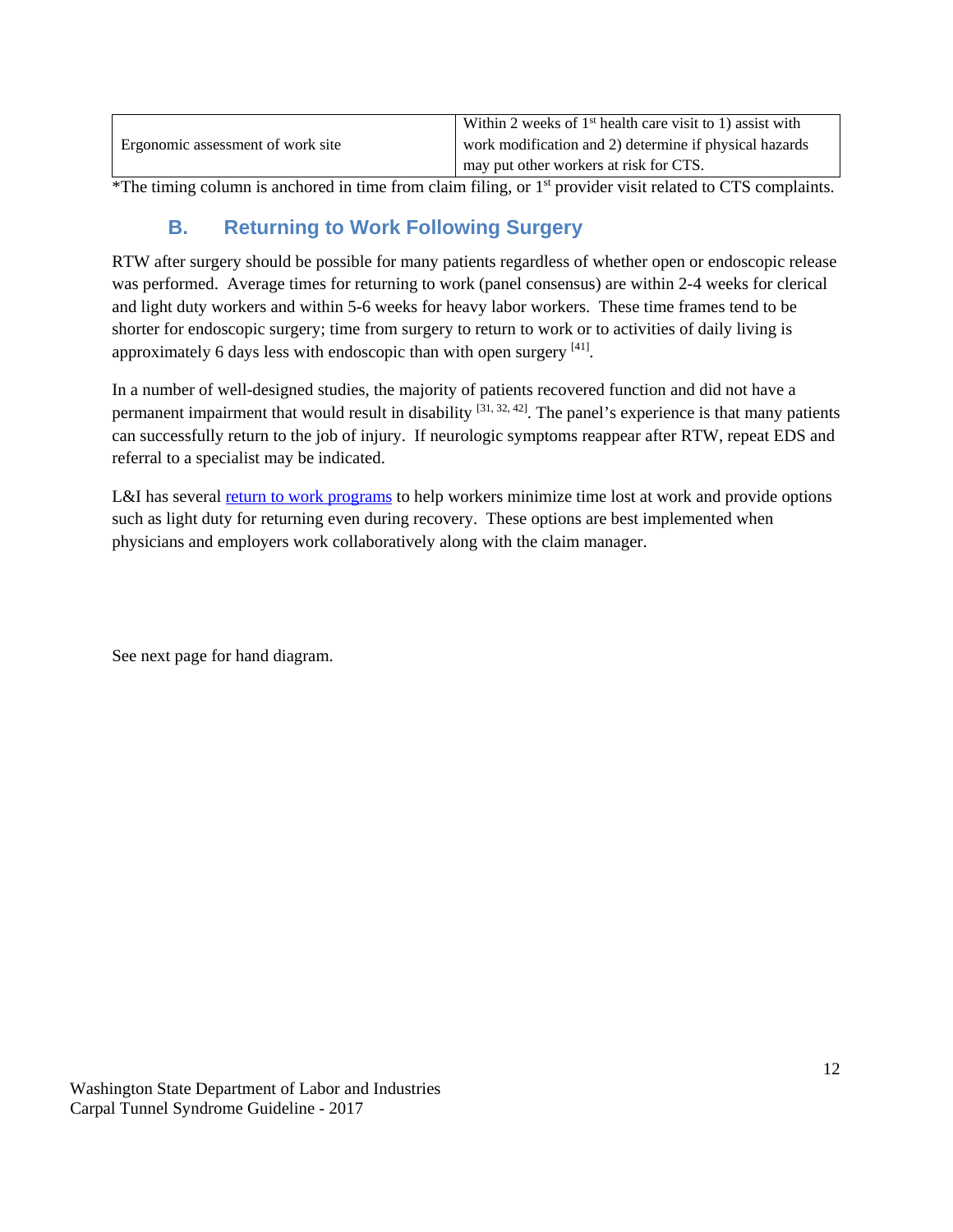|                                   | Within 2 weeks of $1st$ health care visit to 1) assist with |
|-----------------------------------|-------------------------------------------------------------|
| Ergonomic assessment of work site | work modification and 2) determine if physical hazards      |
|                                   | may put other workers at risk for CTS.                      |

<span id="page-11-0"></span> $*$ The timing column is anchored in time from claim filing, or  $1<sup>st</sup>$  provider visit related to CTS complaints.

### **B. Returning to Work Following Surgery**

RTW after surgery should be possible for many patients regardless of whether open or endoscopic release was performed. Average times for returning to work (panel consensus) are within 2-4 weeks for clerical and light duty workers and within 5-6 weeks for heavy labor workers. These time frames tend to be shorter for endoscopic surgery; time from surgery to return to work or to activities of daily living is approximately 6 days less with endoscopic than with open surgery [41].

In a number of well-designed studies, the majority of patients recovered function and did not have a permanent impairment that would result in disability  $[31, 32, 42]$ . The panel's experience is that many patients can successfully return to the job of injury. If neurologic symptoms reappear after RTW, repeat EDS and referral to a specialist may be indicated.

L&I has several [return to work programs](http://www.lni.wa.gov/ClaimsIns/Claims/RTW/default.asp) to help workers minimize time lost at work and provide options such as light duty for returning even during recovery. These options are best implemented when physicians and employers work collaboratively along with the claim manager.

See next page for hand diagram.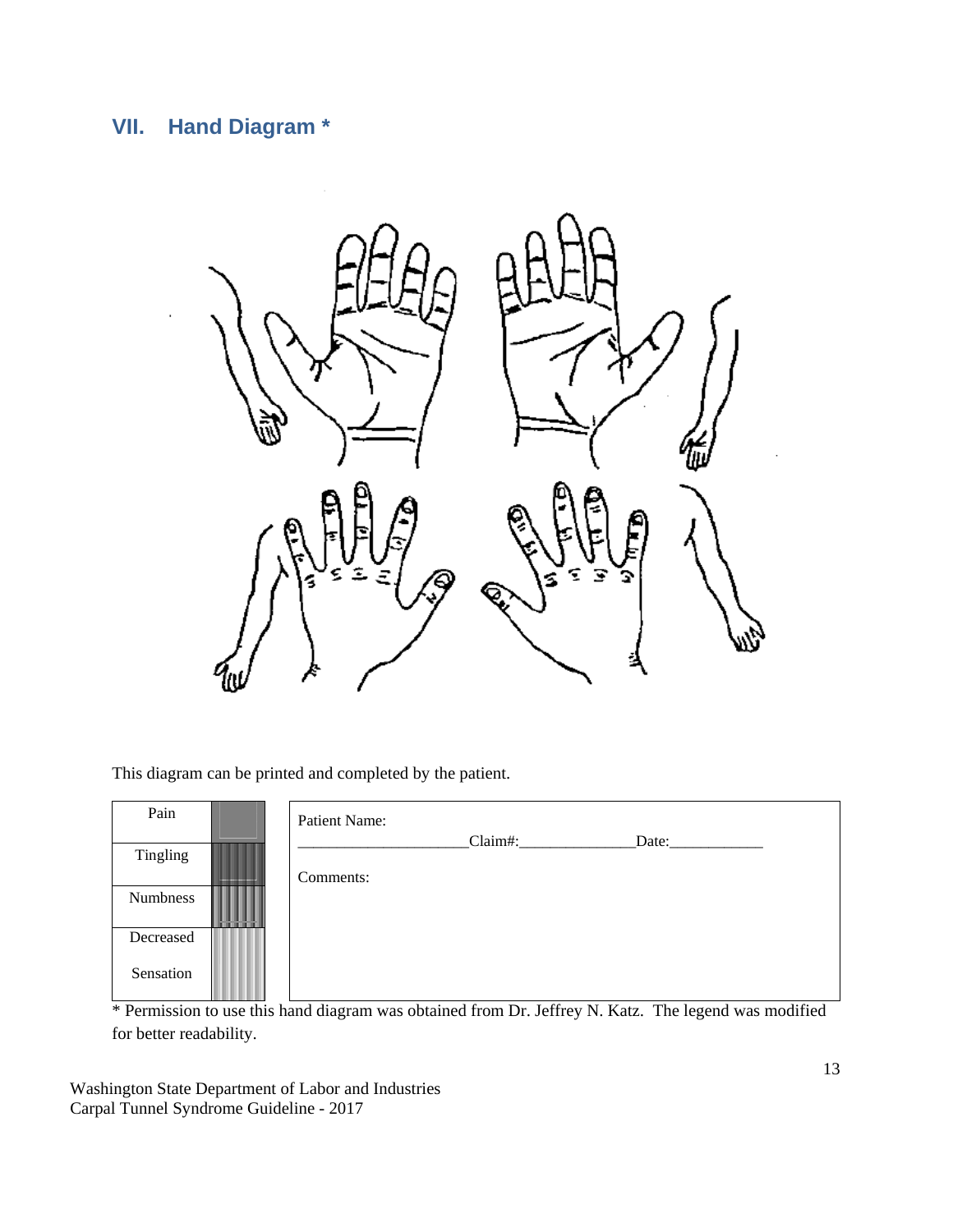## <span id="page-12-0"></span>**VII. Hand Diagram \***



This diagram can be printed and completed by the patient.

| Pain      |                                    | Patient Name: |         |       |  |
|-----------|------------------------------------|---------------|---------|-------|--|
| Tingling  |                                    | Comments:     | Claim#: | Date: |  |
| Numbness  | .<br>.<br>------------------------ |               |         |       |  |
| Decreased |                                    |               |         |       |  |
| Sensation |                                    |               |         |       |  |

\* Permission to use this hand diagram was obtained from Dr. Jeffrey N. Katz. The legend was modified for better readability.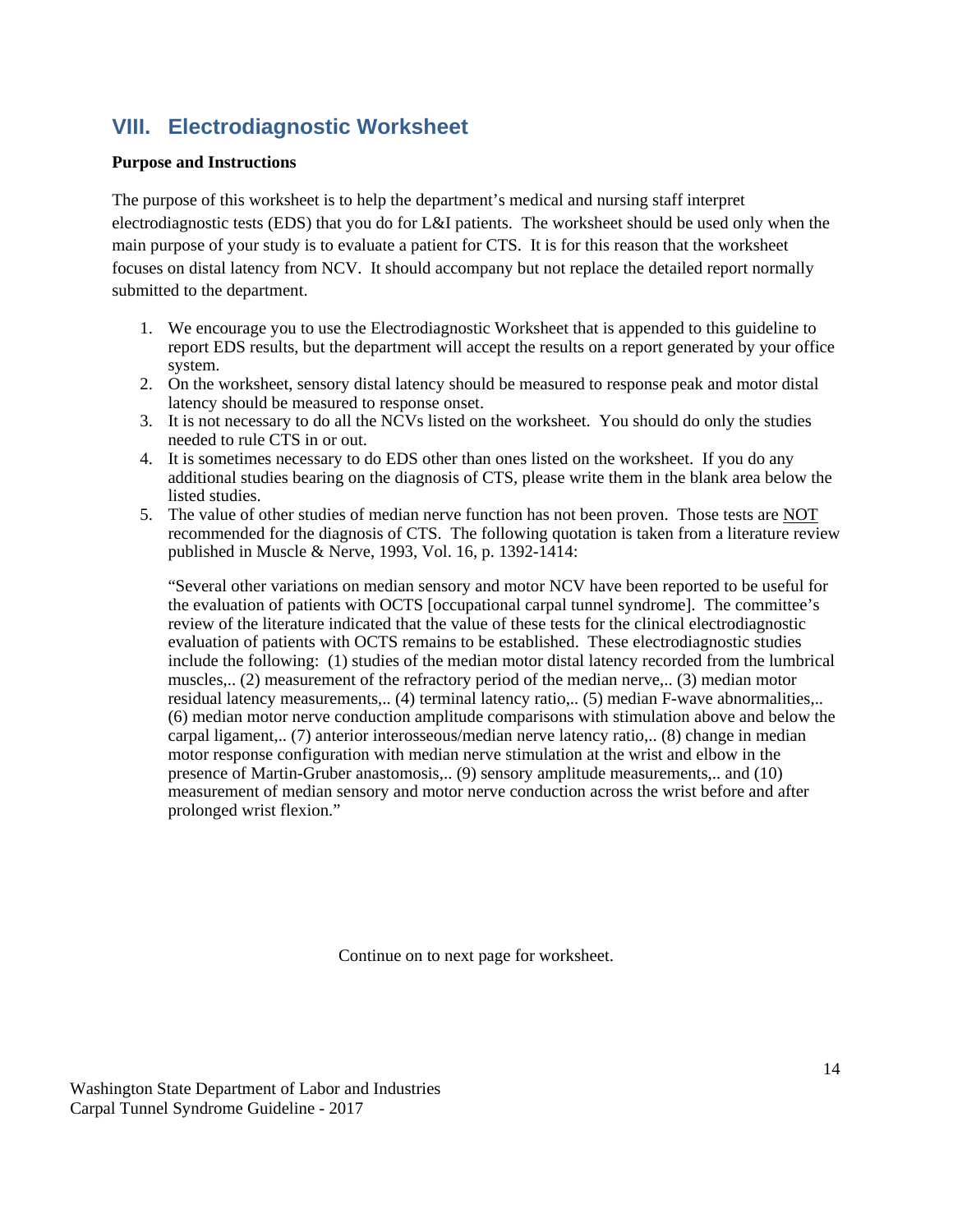### <span id="page-13-0"></span>**VIII. Electrodiagnostic Worksheet**

#### **Purpose and Instructions**

The purpose of this worksheet is to help the department's medical and nursing staff interpret electrodiagnostic tests (EDS) that you do for L&I patients. The worksheet should be used only when the main purpose of your study is to evaluate a patient for CTS. It is for this reason that the worksheet focuses on distal latency from NCV. It should accompany but not replace the detailed report normally submitted to the department.

- 1. We encourage you to use the Electrodiagnostic Worksheet that is appended to this guideline to report EDS results, but the department will accept the results on a report generated by your office system.
- 2. On the worksheet, sensory distal latency should be measured to response peak and motor distal latency should be measured to response onset.
- 3. It is not necessary to do all the NCVs listed on the worksheet. You should do only the studies needed to rule CTS in or out.
- 4. It is sometimes necessary to do EDS other than ones listed on the worksheet. If you do any additional studies bearing on the diagnosis of CTS, please write them in the blank area below the listed studies.
- 5. The value of other studies of median nerve function has not been proven. Those tests are NOT recommended for the diagnosis of CTS. The following quotation is taken from a literature review published in Muscle & Nerve, 1993, Vol. 16, p. 1392-1414:

"Several other variations on median sensory and motor NCV have been reported to be useful for the evaluation of patients with OCTS [occupational carpal tunnel syndrome]. The committee's review of the literature indicated that the value of these tests for the clinical electrodiagnostic evaluation of patients with OCTS remains to be established. These electrodiagnostic studies include the following: (1) studies of the median motor distal latency recorded from the lumbrical muscles,.. (2) measurement of the refractory period of the median nerve,.. (3) median motor residual latency measurements,.. (4) terminal latency ratio,.. (5) median F-wave abnormalities,.. (6) median motor nerve conduction amplitude comparisons with stimulation above and below the carpal ligament,.. (7) anterior interosseous/median nerve latency ratio,.. (8) change in median motor response configuration with median nerve stimulation at the wrist and elbow in the presence of Martin-Gruber anastomosis,.. (9) sensory amplitude measurements,.. and (10) measurement of median sensory and motor nerve conduction across the wrist before and after prolonged wrist flexion."

Continue on to next page for worksheet.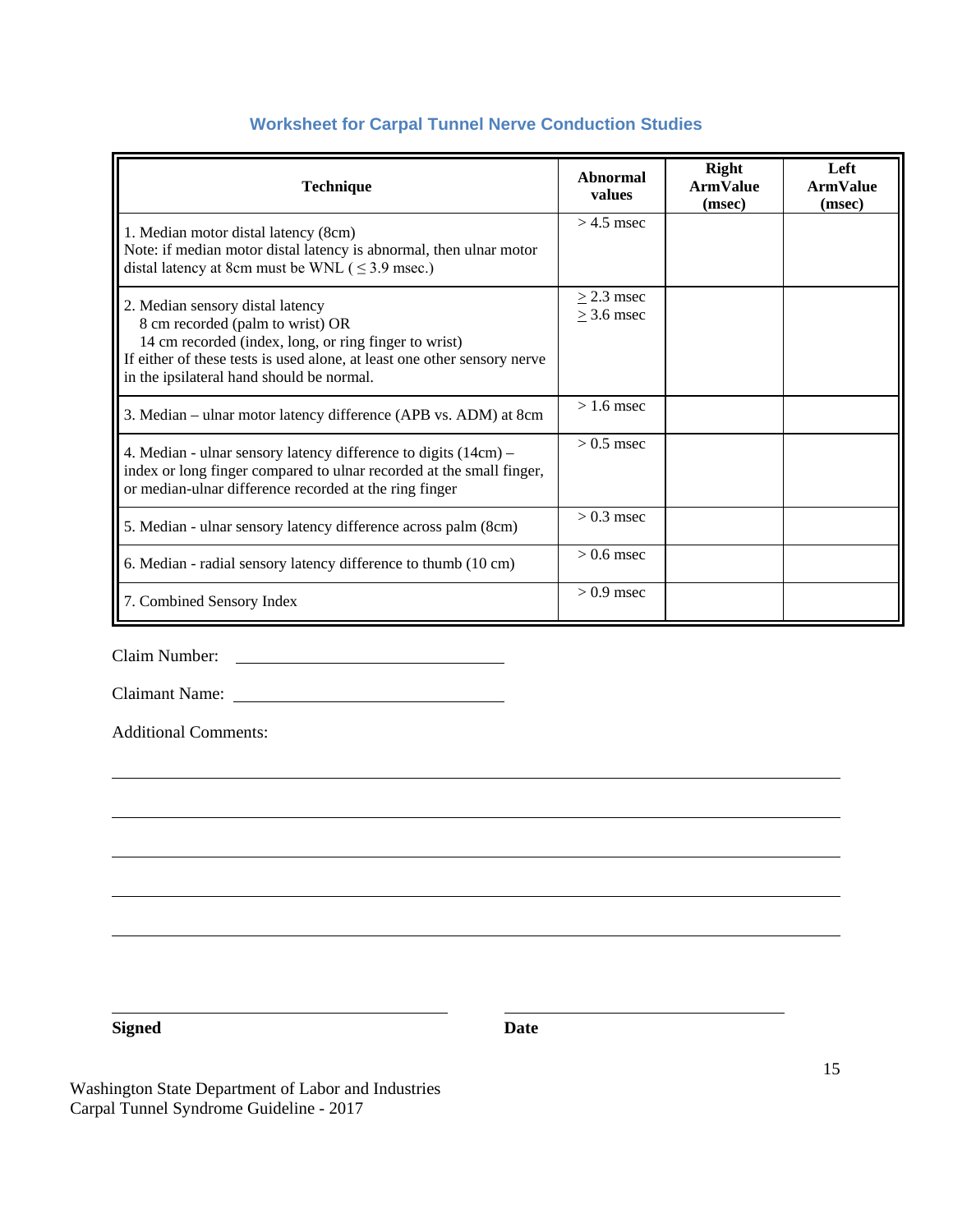### **Worksheet for Carpal Tunnel Nerve Conduction Studies**

| <b>Technique</b>                                                                                                                                                                                                                                       | Abnormal<br>values              | <b>Right</b><br><b>ArmValue</b><br>(msec) | Left<br><b>ArmValue</b><br>(msec) |
|--------------------------------------------------------------------------------------------------------------------------------------------------------------------------------------------------------------------------------------------------------|---------------------------------|-------------------------------------------|-----------------------------------|
| 1. Median motor distal latency (8cm)<br>Note: if median motor distal latency is abnormal, then ulnar motor<br>distal latency at 8cm must be WNL ( $\leq$ 3.9 msec.)                                                                                    | $> 4.5$ msec                    |                                           |                                   |
| 2. Median sensory distal latency<br>8 cm recorded (palm to wrist) OR<br>14 cm recorded (index, long, or ring finger to wrist)<br>If either of these tests is used alone, at least one other sensory nerve<br>in the ipsilateral hand should be normal. | $\geq$ 2.3 msec<br>$>$ 3.6 msec |                                           |                                   |
| 3. Median - ulnar motor latency difference (APB vs. ADM) at 8cm                                                                                                                                                                                        | $> 1.6$ msec                    |                                           |                                   |
| 4. Median - ulnar sensory latency difference to digits (14cm) –<br>index or long finger compared to ulnar recorded at the small finger,<br>or median-ulnar difference recorded at the ring finger                                                      | $> 0.5$ msec                    |                                           |                                   |
| 5. Median - ulnar sensory latency difference across palm (8cm)                                                                                                                                                                                         | $> 0.3$ msec                    |                                           |                                   |
| 6. Median - radial sensory latency difference to thumb (10 cm)                                                                                                                                                                                         | $> 0.6$ msec                    |                                           |                                   |
| 7. Combined Sensory Index                                                                                                                                                                                                                              | $> 0.9$ msec                    |                                           |                                   |

Claim Number:

Claimant Name:

Additional Comments:

**Signed Date**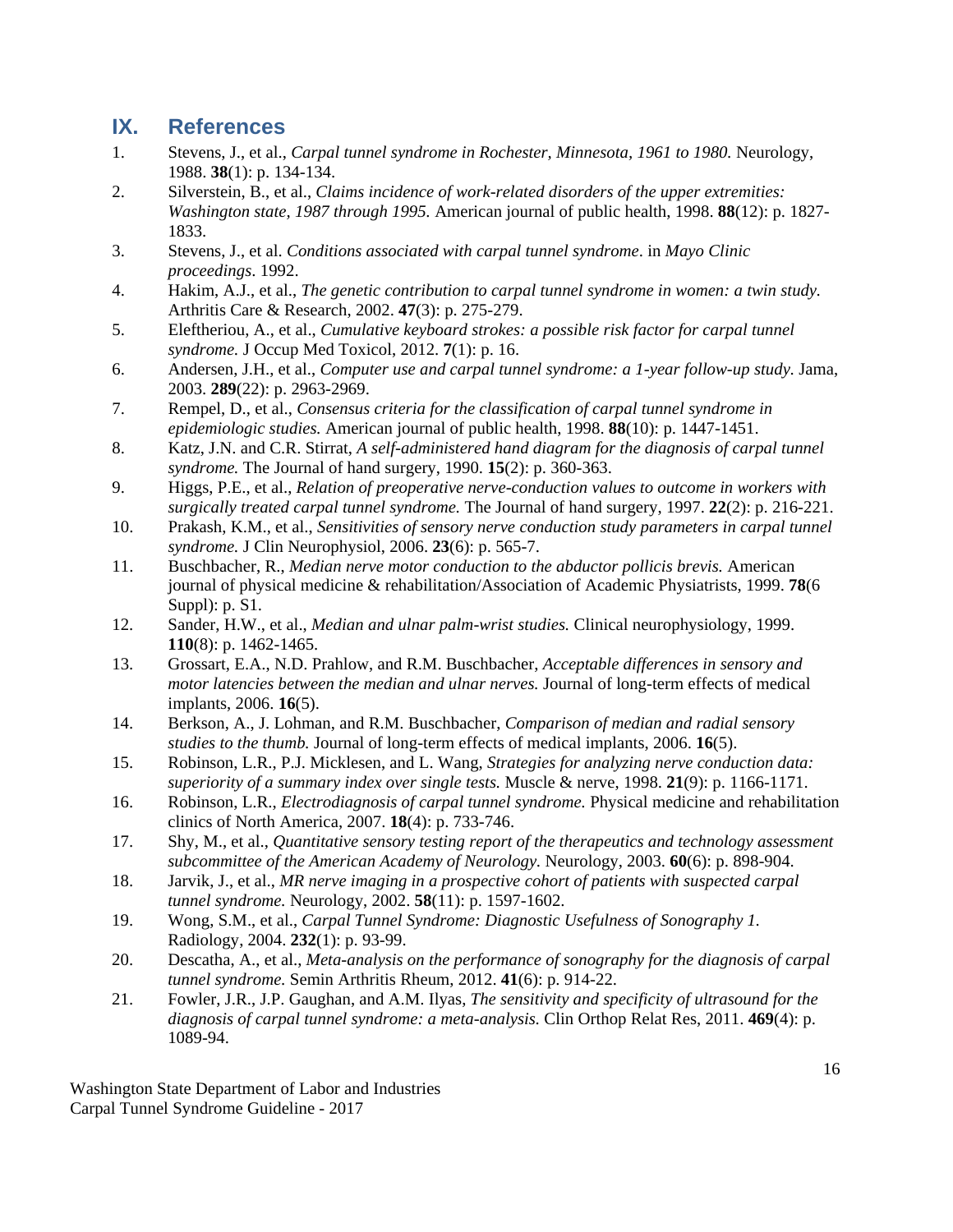### <span id="page-15-0"></span>**IX. References**

- 1. Stevens, J., et al., *Carpal tunnel syndrome in Rochester, Minnesota, 1961 to 1980.* Neurology, 1988. **38**(1): p. 134-134.
- 2. Silverstein, B., et al., *Claims incidence of work-related disorders of the upper extremities: Washington state, 1987 through 1995.* American journal of public health, 1998. **88**(12): p. 1827- 1833.
- 3. Stevens, J., et al. *Conditions associated with carpal tunnel syndrome*. in *Mayo Clinic proceedings*. 1992.
- 4. Hakim, A.J., et al., *The genetic contribution to carpal tunnel syndrome in women: a twin study.* Arthritis Care & Research, 2002. **47**(3): p. 275-279.
- 5. Eleftheriou, A., et al., *Cumulative keyboard strokes: a possible risk factor for carpal tunnel syndrome.* J Occup Med Toxicol, 2012. **7**(1): p. 16.
- 6. Andersen, J.H., et al., *Computer use and carpal tunnel syndrome: a 1-year follow-up study.* Jama, 2003. **289**(22): p. 2963-2969.
- 7. Rempel, D., et al., *Consensus criteria for the classification of carpal tunnel syndrome in epidemiologic studies.* American journal of public health, 1998. **88**(10): p. 1447-1451.
- 8. Katz, J.N. and C.R. Stirrat, *A self-administered hand diagram for the diagnosis of carpal tunnel syndrome.* The Journal of hand surgery, 1990. **15**(2): p. 360-363.
- 9. Higgs, P.E., et al., *Relation of preoperative nerve-conduction values to outcome in workers with surgically treated carpal tunnel syndrome.* The Journal of hand surgery, 1997. **22**(2): p. 216-221.
- 10. Prakash, K.M., et al., *Sensitivities of sensory nerve conduction study parameters in carpal tunnel syndrome.* J Clin Neurophysiol, 2006. **23**(6): p. 565-7.
- 11. Buschbacher, R., *Median nerve motor conduction to the abductor pollicis brevis.* American journal of physical medicine & rehabilitation/Association of Academic Physiatrists, 1999. **78**(6 Suppl): p. S1.
- 12. Sander, H.W., et al., *Median and ulnar palm-wrist studies.* Clinical neurophysiology, 1999. **110**(8): p. 1462-1465.
- 13. Grossart, E.A., N.D. Prahlow, and R.M. Buschbacher, *Acceptable differences in sensory and motor latencies between the median and ulnar nerves.* Journal of long-term effects of medical implants, 2006. **16**(5).
- 14. Berkson, A., J. Lohman, and R.M. Buschbacher, *Comparison of median and radial sensory studies to the thumb.* Journal of long-term effects of medical implants, 2006. **16**(5).
- 15. Robinson, L.R., P.J. Micklesen, and L. Wang, *Strategies for analyzing nerve conduction data: superiority of a summary index over single tests.* Muscle & nerve, 1998. **21**(9): p. 1166-1171.
- 16. Robinson, L.R., *Electrodiagnosis of carpal tunnel syndrome.* Physical medicine and rehabilitation clinics of North America, 2007. **18**(4): p. 733-746.
- 17. Shy, M., et al., *Quantitative sensory testing report of the therapeutics and technology assessment subcommittee of the American Academy of Neurology.* Neurology, 2003. **60**(6): p. 898-904.
- 18. Jarvik, J., et al., *MR nerve imaging in a prospective cohort of patients with suspected carpal tunnel syndrome.* Neurology, 2002. **58**(11): p. 1597-1602.
- 19. Wong, S.M., et al., *Carpal Tunnel Syndrome: Diagnostic Usefulness of Sonography 1.* Radiology, 2004. **232**(1): p. 93-99.
- 20. Descatha, A., et al., *Meta-analysis on the performance of sonography for the diagnosis of carpal tunnel syndrome.* Semin Arthritis Rheum, 2012. **41**(6): p. 914-22.
- 21. Fowler, J.R., J.P. Gaughan, and A.M. Ilyas, *The sensitivity and specificity of ultrasound for the diagnosis of carpal tunnel syndrome: a meta-analysis.* Clin Orthop Relat Res, 2011. **469**(4): p. 1089-94.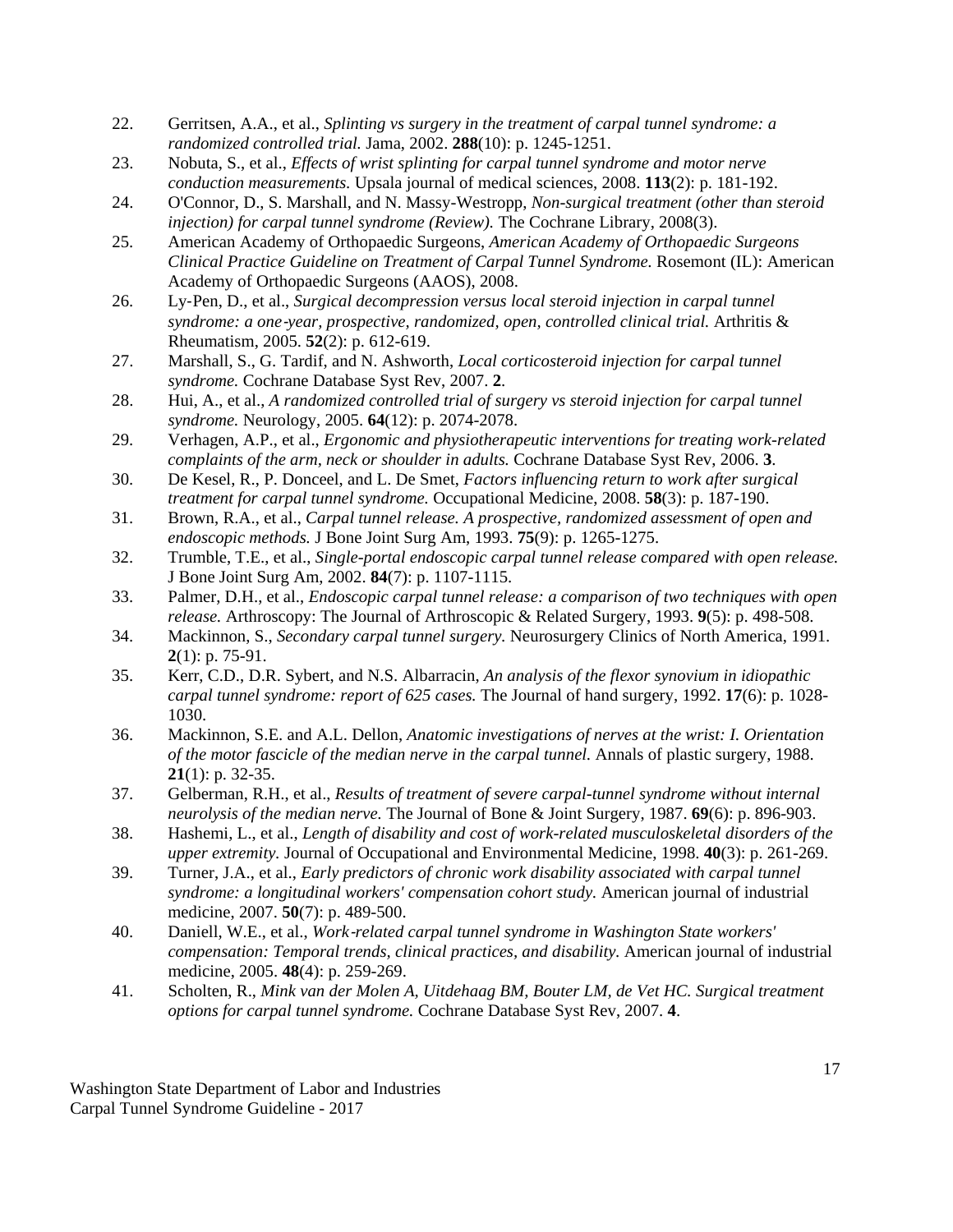- 22. Gerritsen, A.A., et al., *Splinting vs surgery in the treatment of carpal tunnel syndrome: a randomized controlled trial.* Jama, 2002. **288**(10): p. 1245-1251.
- 23. Nobuta, S., et al., *Effects of wrist splinting for carpal tunnel syndrome and motor nerve conduction measurements.* Upsala journal of medical sciences, 2008. **113**(2): p. 181-192.
- 24. O'Connor, D., S. Marshall, and N. Massy-Westropp, *Non-surgical treatment (other than steroid injection) for carpal tunnel syndrome (Review).* The Cochrane Library, 2008(3).
- 25. American Academy of Orthopaedic Surgeons, *American Academy of Orthopaedic Surgeons Clinical Practice Guideline on Treatment of Carpal Tunnel Syndrome.* Rosemont (IL): American Academy of Orthopaedic Surgeons (AAOS), 2008.
- 26. Ly‐Pen, D., et al., *Surgical decompression versus local steroid injection in carpal tunnel syndrome: a one*‐*year, prospective, randomized, open, controlled clinical trial.* Arthritis & Rheumatism, 2005. **52**(2): p. 612-619.
- 27. Marshall, S., G. Tardif, and N. Ashworth, *Local corticosteroid injection for carpal tunnel syndrome.* Cochrane Database Syst Rev, 2007. **2**.
- 28. Hui, A., et al., *A randomized controlled trial of surgery vs steroid injection for carpal tunnel syndrome.* Neurology, 2005. **64**(12): p. 2074-2078.
- 29. Verhagen, A.P., et al., *Ergonomic and physiotherapeutic interventions for treating work-related complaints of the arm, neck or shoulder in adults.* Cochrane Database Syst Rev, 2006. **3**.
- 30. De Kesel, R., P. Donceel, and L. De Smet, *Factors influencing return to work after surgical treatment for carpal tunnel syndrome.* Occupational Medicine, 2008. **58**(3): p. 187-190.
- 31. Brown, R.A., et al., *Carpal tunnel release. A prospective, randomized assessment of open and endoscopic methods.* J Bone Joint Surg Am, 1993. **75**(9): p. 1265-1275.
- 32. Trumble, T.E., et al., *Single-portal endoscopic carpal tunnel release compared with open release.* J Bone Joint Surg Am, 2002. **84**(7): p. 1107-1115.
- 33. Palmer, D.H., et al., *Endoscopic carpal tunnel release: a comparison of two techniques with open release.* Arthroscopy: The Journal of Arthroscopic & Related Surgery, 1993. **9**(5): p. 498-508.
- 34. Mackinnon, S., *Secondary carpal tunnel surgery.* Neurosurgery Clinics of North America, 1991. **2**(1): p. 75-91.
- 35. Kerr, C.D., D.R. Sybert, and N.S. Albarracin, *An analysis of the flexor synovium in idiopathic carpal tunnel syndrome: report of 625 cases.* The Journal of hand surgery, 1992. **17**(6): p. 1028- 1030.
- 36. Mackinnon, S.E. and A.L. Dellon, *Anatomic investigations of nerves at the wrist: I. Orientation of the motor fascicle of the median nerve in the carpal tunnel.* Annals of plastic surgery, 1988. **21**(1): p. 32-35.
- 37. Gelberman, R.H., et al., *Results of treatment of severe carpal-tunnel syndrome without internal neurolysis of the median nerve.* The Journal of Bone & Joint Surgery, 1987. **69**(6): p. 896-903.
- 38. Hashemi, L., et al., *Length of disability and cost of work-related musculoskeletal disorders of the upper extremity.* Journal of Occupational and Environmental Medicine, 1998. **40**(3): p. 261-269.
- 39. Turner, J.A., et al., *Early predictors of chronic work disability associated with carpal tunnel syndrome: a longitudinal workers' compensation cohort study.* American journal of industrial medicine, 2007. **50**(7): p. 489-500.
- 40. Daniell, W.E., et al., *Work*‐*related carpal tunnel syndrome in Washington State workers' compensation: Temporal trends, clinical practices, and disability.* American journal of industrial medicine, 2005. **48**(4): p. 259-269.
- 41. Scholten, R., *Mink van der Molen A, Uitdehaag BM, Bouter LM, de Vet HC. Surgical treatment options for carpal tunnel syndrome.* Cochrane Database Syst Rev, 2007. **4**.